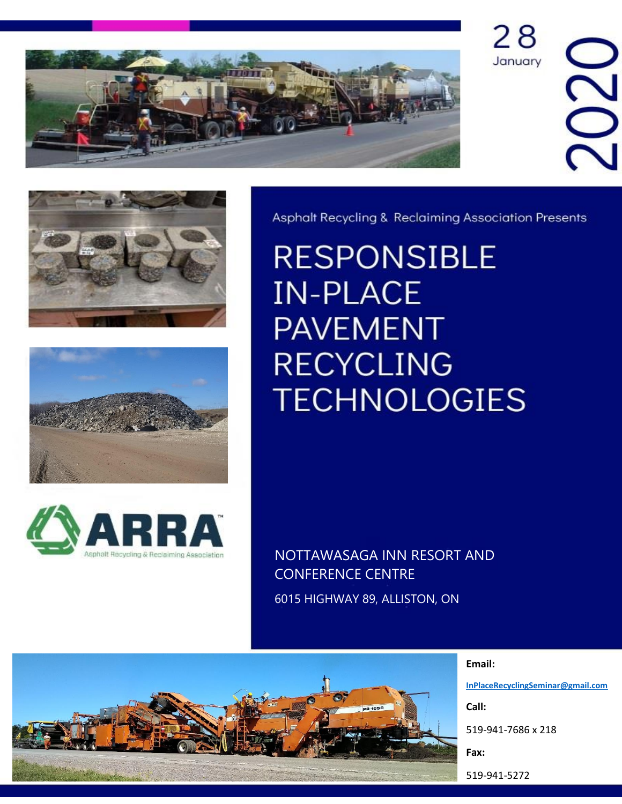







Asphalt Recycling & Reclaiming Association Presents

28

January

 $\geq$ 

**RESPONSIBLE IN-PLACE PAVEMENT RECYCLING TECHNOLOGIES** 

NOTTAWASAGA INN RESORT AND CONFERENCE CENTRE

6015 HIGHWAY 89, ALLISTON, ON



**Email:**

**[InPlaceRecyclingSeminar@gmail.com](mailto:InPlaceRecyclingSeminar@gmail.com)**

**Call:** 

519-941-7686 x 218

**Fax:** 

519-941-5272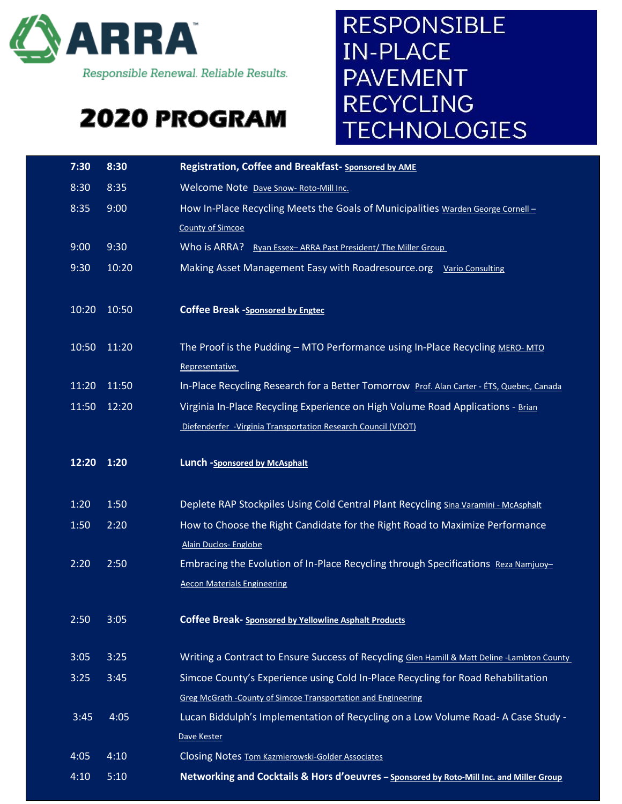

Responsible Renewal. Reliable Results.

## 2020 PROGRAM

## **RESPONSIBLE** IN-PLACE **PAVEMENT RECYCLING TECHNOLOGIES**

| 7:30        | 8:30        | Registration, Coffee and Breakfast- Sponsored by AME                                        |
|-------------|-------------|---------------------------------------------------------------------------------------------|
| 8:30        | 8:35        | Welcome Note Dave Snow- Roto-Mill Inc.                                                      |
| 8:35        | 9:00        | How In-Place Recycling Meets the Goals of Municipalities Warden George Cornell -            |
|             |             | <b>County of Simcoe</b>                                                                     |
| 9:00        | 9:30        | Who is ARRA? Ryan Essex-ARRA Past President/ The Miller Group                               |
| 9:30        | 10:20       | Making Asset Management Easy with Roadresource.org Vario Consulting                         |
|             |             |                                                                                             |
|             | 10:20 10:50 | <b>Coffee Break -Sponsored by Engtec</b>                                                    |
|             |             |                                                                                             |
| 10:50 11:20 |             | The Proof is the Pudding - MTO Performance using In-Place Recycling MERO-MTO                |
|             |             | Representative                                                                              |
|             | 11:20 11:50 | In-Place Recycling Research for a Better Tomorrow Prof. Alan Carter - ETS, Quebec, Canada   |
|             | 11:50 12:20 | Virginia In-Place Recycling Experience on High Volume Road Applications - Brian             |
|             |             | Diefenderfer - Virginia Transportation Research Council (VDOT)                              |
|             |             |                                                                                             |
| 12:20 1:20  |             | Lunch -Sponsored by McAsphalt                                                               |
|             |             |                                                                                             |
|             |             |                                                                                             |
| 1:20        | 1:50        | Deplete RAP Stockpiles Using Cold Central Plant Recycling Sina Varamini - McAsphalt         |
| 1:50        | 2:20        | How to Choose the Right Candidate for the Right Road to Maximize Performance                |
|             |             | Alain Duclos- Englobe                                                                       |
| 2:20        | 2:50        | Embracing the Evolution of In-Place Recycling through Specifications Reza Namjuoy-          |
|             |             | <b>Aecon Materials Engineering</b>                                                          |
|             |             |                                                                                             |
| 2:50        | 3:05        | <b>Coffee Break- Sponsored by Yellowline Asphalt Products</b>                               |
| 3:05        | 3:25        | Writing a Contract to Ensure Success of Recycling Glen Hamill & Matt Deline -Lambton County |
| 3:25        | 3:45        | Simcoe County's Experience using Cold In-Place Recycling for Road Rehabilitation            |
|             |             | <b>Greg McGrath - County of Simcoe Transportation and Engineering</b>                       |
| 3:45        | 4:05        | Lucan Biddulph's Implementation of Recycling on a Low Volume Road- A Case Study -           |
|             |             | Dave Kester                                                                                 |
| 4:05        | 4:10        | <b>Closing Notes Tom Kazmierowski-Golder Associates</b>                                     |